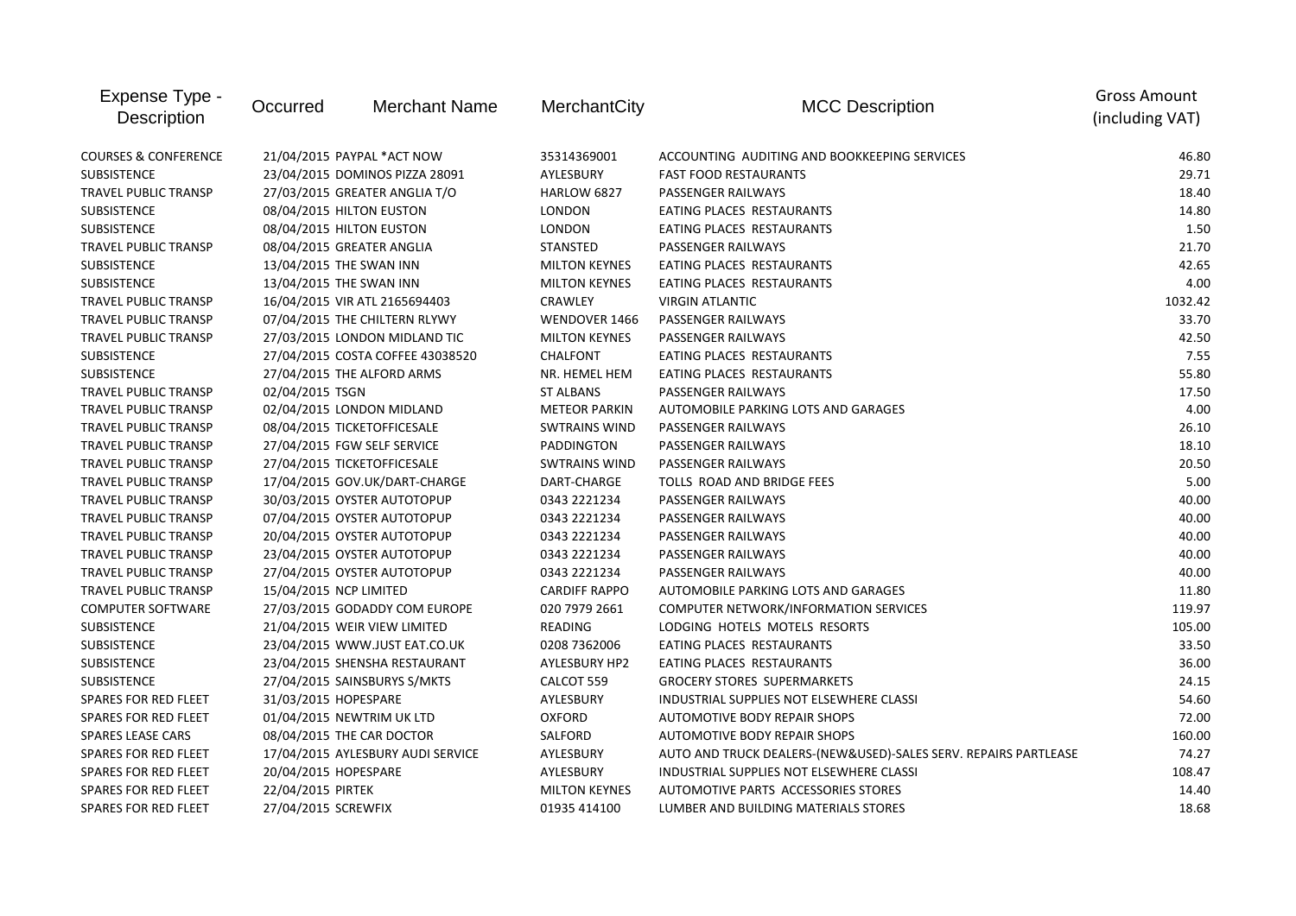| Expense Type -<br>Description   | Occurred                | Merchant Name                     | MerchantCity         | <b>MCC Description</b>                                          | <b>Gross Amount</b><br>(including VAT) |
|---------------------------------|-------------------------|-----------------------------------|----------------------|-----------------------------------------------------------------|----------------------------------------|
| <b>COURSES &amp; CONFERENCE</b> |                         | 21/04/2015 PAYPAL *ACT NOW        | 35314369001          | ACCOUNTING AUDITING AND BOOKKEEPING SERVICES                    | 46.80                                  |
| <b>SUBSISTENCE</b>              |                         | 23/04/2015 DOMINOS PIZZA 28091    | AYLESBURY            | <b>FAST FOOD RESTAURANTS</b>                                    | 29.71                                  |
| <b>TRAVEL PUBLIC TRANSP</b>     |                         | 27/03/2015 GREATER ANGLIA T/O     | HARLOW 6827          | PASSENGER RAILWAYS                                              | 18.40                                  |
| <b>SUBSISTENCE</b>              |                         | 08/04/2015 HILTON EUSTON          | LONDON               | EATING PLACES RESTAURANTS                                       | 14.80                                  |
| <b>SUBSISTENCE</b>              |                         | 08/04/2015 HILTON EUSTON          | LONDON               | EATING PLACES RESTAURANTS                                       | 1.50                                   |
| <b>TRAVEL PUBLIC TRANSP</b>     |                         | 08/04/2015 GREATER ANGLIA         | <b>STANSTED</b>      | PASSENGER RAILWAYS                                              | 21.70                                  |
| <b>SUBSISTENCE</b>              | 13/04/2015 THE SWAN INN |                                   | <b>MILTON KEYNES</b> | EATING PLACES RESTAURANTS                                       | 42.65                                  |
| <b>SUBSISTENCE</b>              | 13/04/2015 THE SWAN INN |                                   | <b>MILTON KEYNES</b> | EATING PLACES RESTAURANTS                                       | 4.00                                   |
| <b>TRAVEL PUBLIC TRANSP</b>     |                         | 16/04/2015 VIR ATL 2165694403     | CRAWLEY              | <b>VIRGIN ATLANTIC</b>                                          | 1032.42                                |
| <b>TRAVEL PUBLIC TRANSP</b>     |                         | 07/04/2015 THE CHILTERN RLYWY     | WENDOVER 1466        | PASSENGER RAILWAYS                                              | 33.70                                  |
| <b>TRAVEL PUBLIC TRANSP</b>     |                         | 27/03/2015 LONDON MIDLAND TIC     | <b>MILTON KEYNES</b> | PASSENGER RAILWAYS                                              | 42.50                                  |
| <b>SUBSISTENCE</b>              |                         | 27/04/2015 COSTA COFFEE 43038520  | <b>CHALFONT</b>      | EATING PLACES RESTAURANTS                                       | 7.55                                   |
| <b>SUBSISTENCE</b>              |                         | 27/04/2015 THE ALFORD ARMS        | NR. HEMEL HEM        | EATING PLACES RESTAURANTS                                       | 55.80                                  |
| <b>TRAVEL PUBLIC TRANSP</b>     | 02/04/2015 TSGN         |                                   | <b>ST ALBANS</b>     | PASSENGER RAILWAYS                                              | 17.50                                  |
| <b>TRAVEL PUBLIC TRANSP</b>     |                         | 02/04/2015 LONDON MIDLAND         | <b>METEOR PARKIN</b> | AUTOMOBILE PARKING LOTS AND GARAGES                             | 4.00                                   |
| <b>TRAVEL PUBLIC TRANSP</b>     |                         | 08/04/2015 TICKETOFFICESALE       | <b>SWTRAINS WIND</b> | PASSENGER RAILWAYS                                              | 26.10                                  |
| <b>TRAVEL PUBLIC TRANSP</b>     |                         | 27/04/2015 FGW SELF SERVICE       | PADDINGTON           | PASSENGER RAILWAYS                                              | 18.10                                  |
| <b>TRAVEL PUBLIC TRANSP</b>     |                         | 27/04/2015 TICKETOFFICESALE       | <b>SWTRAINS WIND</b> | PASSENGER RAILWAYS                                              | 20.50                                  |
| <b>TRAVEL PUBLIC TRANSP</b>     |                         | 17/04/2015 GOV.UK/DART-CHARGE     | DART-CHARGE          | TOLLS ROAD AND BRIDGE FEES                                      | 5.00                                   |
| <b>TRAVEL PUBLIC TRANSP</b>     |                         | 30/03/2015 OYSTER AUTOTOPUP       | 0343 2221234         | PASSENGER RAILWAYS                                              | 40.00                                  |
| <b>TRAVEL PUBLIC TRANSP</b>     |                         | 07/04/2015 OYSTER AUTOTOPUP       | 0343 2221234         | PASSENGER RAILWAYS                                              | 40.00                                  |
| <b>TRAVEL PUBLIC TRANSP</b>     |                         | 20/04/2015 OYSTER AUTOTOPUP       | 0343 2221234         | PASSENGER RAILWAYS                                              | 40.00                                  |
| <b>TRAVEL PUBLIC TRANSP</b>     |                         | 23/04/2015 OYSTER AUTOTOPUP       | 0343 2221234         | PASSENGER RAILWAYS                                              | 40.00                                  |
| <b>TRAVEL PUBLIC TRANSP</b>     |                         | 27/04/2015 OYSTER AUTOTOPUP       | 0343 2221234         | PASSENGER RAILWAYS                                              | 40.00                                  |
| <b>TRAVEL PUBLIC TRANSP</b>     | 15/04/2015 NCP LIMITED  |                                   | <b>CARDIFF RAPPO</b> | AUTOMOBILE PARKING LOTS AND GARAGES                             | 11.80                                  |
| <b>COMPUTER SOFTWARE</b>        |                         | 27/03/2015 GODADDY COM EUROPE     | 020 7979 2661        | COMPUTER NETWORK/INFORMATION SERVICES                           | 119.97                                 |
| <b>SUBSISTENCE</b>              |                         | 21/04/2015 WEIR VIEW LIMITED      | <b>READING</b>       | LODGING HOTELS MOTELS RESORTS                                   | 105.00                                 |
| <b>SUBSISTENCE</b>              |                         | 23/04/2015 WWW.JUST EAT.CO.UK     | 0208 7362006         | EATING PLACES RESTAURANTS                                       | 33.50                                  |
| SUBSISTENCE                     |                         | 23/04/2015 SHENSHA RESTAURANT     | AYLESBURY HP2        | EATING PLACES RESTAURANTS                                       | 36.00                                  |
| <b>SUBSISTENCE</b>              |                         | 27/04/2015 SAINSBURYS S/MKTS      | CALCOT 559           | <b>GROCERY STORES SUPERMARKETS</b>                              | 24.15                                  |
| <b>SPARES FOR RED FLEET</b>     | 31/03/2015 HOPESPARE    |                                   | AYLESBURY            | INDUSTRIAL SUPPLIES NOT ELSEWHERE CLASSI                        | 54.60                                  |
| SPARES FOR RED FLEET            |                         | 01/04/2015 NEWTRIM UK LTD         | <b>OXFORD</b>        | <b>AUTOMOTIVE BODY REPAIR SHOPS</b>                             | 72.00                                  |
| <b>SPARES LEASE CARS</b>        |                         | 08/04/2015 THE CAR DOCTOR         | SALFORD              | <b>AUTOMOTIVE BODY REPAIR SHOPS</b>                             | 160.00                                 |
| SPARES FOR RED FLEET            |                         | 17/04/2015 AYLESBURY AUDI SERVICE | AYLESBURY            | AUTO AND TRUCK DEALERS-(NEW&USED)-SALES SERV. REPAIRS PARTLEASE | 74.27                                  |
| <b>SPARES FOR RED FLEET</b>     | 20/04/2015 HOPESPARE    |                                   | AYLESBURY            | INDUSTRIAL SUPPLIES NOT ELSEWHERE CLASSI                        | 108.47                                 |
| <b>SPARES FOR RED FLEET</b>     | 22/04/2015 PIRTEK       |                                   | <b>MILTON KEYNES</b> | AUTOMOTIVE PARTS ACCESSORIES STORES                             | 14.40                                  |
| <b>SPARES FOR RED FLEET</b>     | 27/04/2015 SCREWFIX     |                                   | 01935 414100         | LUMBER AND BUILDING MATERIALS STORES                            | 18.68                                  |